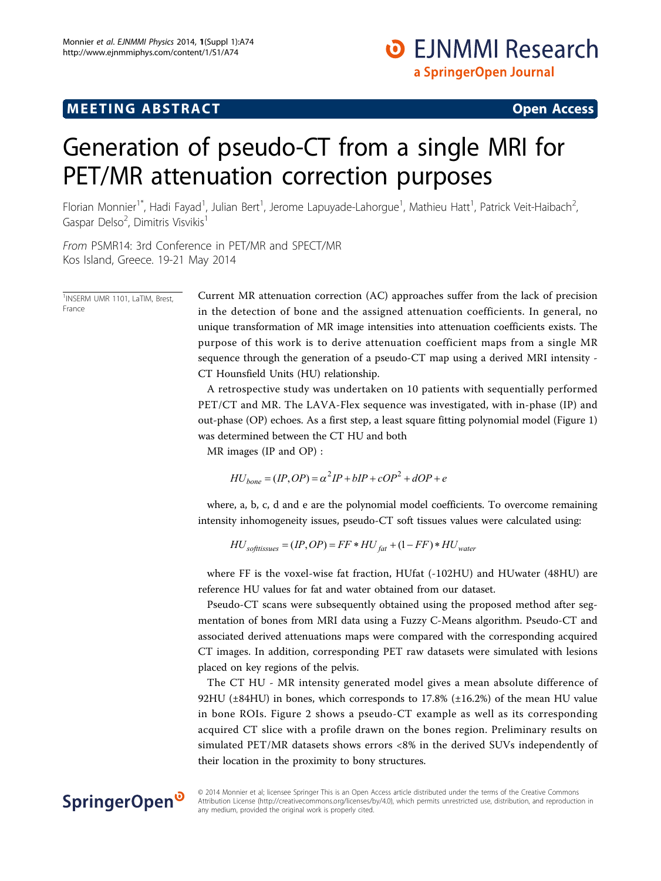## $\mathbf{F} = \mathbf{F} \mathbf{F} \mathbf{F}$  , which are the set of the set of the set of the set of the set of the set of the set of the set of the set of the set of the set of the set of the set of the set of the set of the set of the s

# Generation of pseudo-CT from a single MRI for PET/MR attenuation correction purposes

Florian Monnier<sup>1\*</sup>, Hadi Fayad<sup>1</sup>, Julian Bert<sup>1</sup>, Jerome Lapuyade-Lahorgue<sup>1</sup>, Mathieu Hatt<sup>1</sup>, Patrick Veit-Haibach<sup>2</sup> .<br>, Gaspar Delso<sup>2</sup>, Dimitris Visvikis<sup>1</sup>

From PSMR14: 3rd Conference in PET/MR and SPECT/MR Kos Island, Greece. 19-21 May 2014

1 INSERM UMR 1101, LaTIM, Brest, France

Current MR attenuation correction (AC) approaches suffer from the lack of precision in the detection of bone and the assigned attenuation coefficients. In general, no unique transformation of MR image intensities into attenuation coefficients exists. The purpose of this work is to derive attenuation coefficient maps from a single MR sequence through the generation of a pseudo-CT map using a derived MRI intensity - CT Hounsfield Units (HU) relationship.

A retrospective study was undertaken on 10 patients with sequentially performed PET/CT and MR. The LAVA-Flex sequence was investigated, with in-phase (IP) and out-phase (OP) echoes. As a first step, a least square fitting polynomial model (Figure [1](#page-1-0)) was determined between the CT HU and both

MR images (IP and OP) :

$$
HU_{bone} = (IP, OP) = \alpha^2 IP + bIP + \alpha OP^2 + dOP + e
$$

where, a, b, c, d and e are the polynomial model coefficients. To overcome remaining intensity inhomogeneity issues, pseudo-CT soft tissues values were calculated using:

$$
HU_{softissues} = (IP, OP) = FF * HU_{fat} + (1 - FF) * HU_{water}
$$

where FF is the voxel-wise fat fraction, HUfat (-102HU) and HUwater (48HU) are reference HU values for fat and water obtained from our dataset.

Pseudo-CT scans were subsequently obtained using the proposed method after segmentation of bones from MRI data using a Fuzzy C-Means algorithm. Pseudo-CT and associated derived attenuations maps were compared with the corresponding acquired CT images. In addition, corresponding PET raw datasets were simulated with lesions placed on key regions of the pelvis.

The CT HU - MR intensity generated model gives a mean absolute difference of 92HU ( $\pm$ 84HU) in bones, which corresponds to 17.8% ( $\pm$ 16.2%) of the mean HU value in bone ROIs. Figure [2](#page-1-0) shows a pseudo-CT example as well as its corresponding acquired CT slice with a profile drawn on the bones region. Preliminary results on simulated PET/MR datasets shows errors <8% in the derived SUVs independently of their location in the proximity to bony structures.

### SpringerOpen<sup>®</sup>

© 2014 Monnier et al; licensee Springer This is an Open Access article distributed under the terms of the Creative Commons Attribution License [\(http://creativecommons.org/licenses/by/4.0](http://creativecommons.org/licenses/by/4.0)), which permits unrestricted use, distribution, and reproduction in any medium, provided the original work is properly cited.